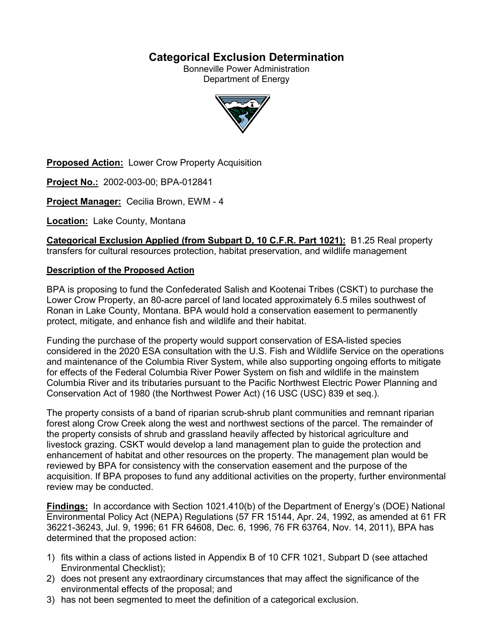# **Categorical Exclusion Determination**

Bonneville Power Administration Department of Energy



**Proposed Action:** Lower Crow Property Acquisition

**Project No.:** 2002-003-00; BPA-012841

**Project Manager:** Cecilia Brown, EWM - 4

**Location:** Lake County, Montana

**Categorical Exclusion Applied (from Subpart D, 10 C.F.R. Part 1021):** B1.25 Real property transfers for cultural resources protection, habitat preservation, and wildlife management

#### **Description of the Proposed Action**

BPA is proposing to fund the Confederated Salish and Kootenai Tribes (CSKT) to purchase the Lower Crow Property, an 80-acre parcel of land located approximately 6.5 miles southwest of Ronan in Lake County, Montana. BPA would hold a conservation easement to permanently protect, mitigate, and enhance fish and wildlife and their habitat.

Funding the purchase of the property would support conservation of ESA-listed species considered in the 2020 ESA consultation with the U.S. Fish and Wildlife Service on the operations and maintenance of the Columbia River System, while also supporting ongoing efforts to mitigate for effects of the Federal Columbia River Power System on fish and wildlife in the mainstem Columbia River and its tributaries pursuant to the Pacific Northwest Electric Power Planning and Conservation Act of 1980 (the Northwest Power Act) (16 USC (USC) 839 et seq.).

The property consists of a band of riparian scrub-shrub plant communities and remnant riparian forest along Crow Creek along the west and northwest sections of the parcel. The remainder of the property consists of shrub and grassland heavily affected by historical agriculture and livestock grazing. CSKT would develop a land management plan to guide the protection and enhancement of habitat and other resources on the property. The management plan would be reviewed by BPA for consistency with the conservation easement and the purpose of the acquisition. If BPA proposes to fund any additional activities on the property, further environmental review may be conducted.

**Findings:** In accordance with Section 1021.410(b) of the Department of Energy's (DOE) National Environmental Policy Act (NEPA) Regulations (57 FR 15144, Apr. 24, 1992, as amended at 61 FR 36221-36243, Jul. 9, 1996; 61 FR 64608, Dec. 6, 1996, 76 FR 63764, Nov. 14, 2011), BPA has determined that the proposed action:

- 1) fits within a class of actions listed in Appendix B of 10 CFR 1021, Subpart D (see attached Environmental Checklist);
- 2) does not present any extraordinary circumstances that may affect the significance of the environmental effects of the proposal; and
- 3) has not been segmented to meet the definition of a categorical exclusion.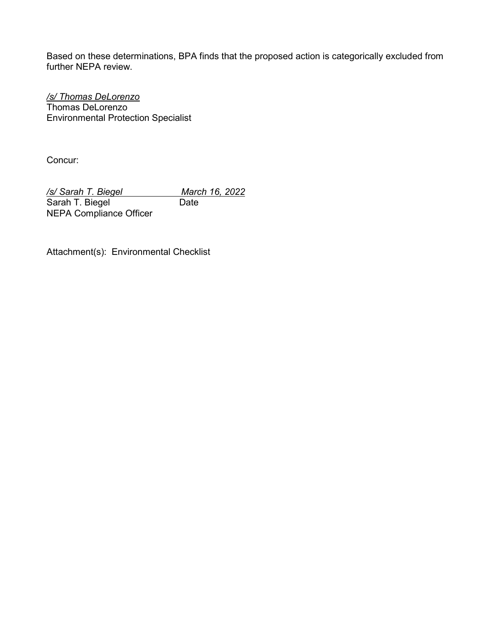Based on these determinations, BPA finds that the proposed action is categorically excluded from further NEPA review.

*/s/ Thomas DeLorenzo* Thomas DeLorenzo Environmental Protection Specialist

Concur:

*/s/ Sarah T. Biegel March 16, 2022*  Sarah T. Biegel Date NEPA Compliance Officer

Attachment(s): Environmental Checklist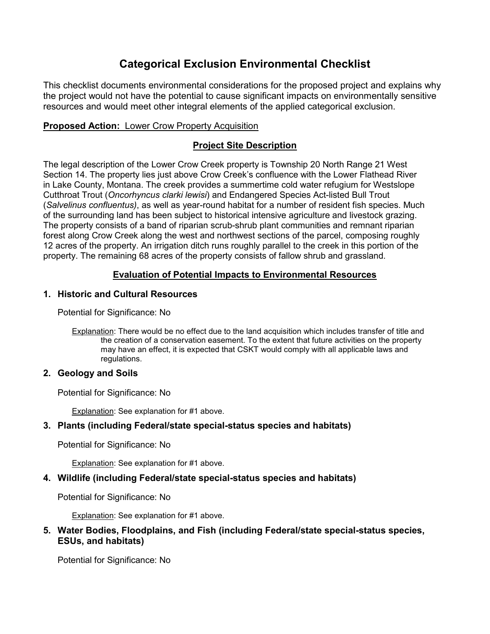# **Categorical Exclusion Environmental Checklist**

This checklist documents environmental considerations for the proposed project and explains why the project would not have the potential to cause significant impacts on environmentally sensitive resources and would meet other integral elements of the applied categorical exclusion.

## **Proposed Action:** Lower Crow Property Acquisition

# **Project Site Description**

The legal description of the Lower Crow Creek property is Township 20 North Range 21 West Section 14. The property lies just above Crow Creek's confluence with the Lower Flathead River in Lake County, Montana. The creek provides a summertime cold water refugium for Westslope Cutthroat Trout (*Oncorhyncus clarki lewisi*) and Endangered Species Act-listed Bull Trout (*Salvelinus confluentus)*, as well as year-round habitat for a number of resident fish species. Much of the surrounding land has been subject to historical intensive agriculture and livestock grazing. The property consists of a band of riparian scrub-shrub plant communities and remnant riparian forest along Crow Creek along the west and northwest sections of the parcel, composing roughly 12 acres of the property. An irrigation ditch runs roughly parallel to the creek in this portion of the property. The remaining 68 acres of the property consists of fallow shrub and grassland.

# **Evaluation of Potential Impacts to Environmental Resources**

## **1. Historic and Cultural Resources**

Potential for Significance: No

Explanation: There would be no effect due to the land acquisition which includes transfer of title and the creation of a conservation easement. To the extent that future activities on the property may have an effect, it is expected that CSKT would comply with all applicable laws and regulations.

#### **2. Geology and Soils**

Potential for Significance: No

Explanation: See explanation for #1 above.

# **3. Plants (including Federal/state special-status species and habitats)**

Potential for Significance: No

Explanation: See explanation for #1 above.

#### **4. Wildlife (including Federal/state special-status species and habitats)**

Potential for Significance: No

Explanation: See explanation for #1 above.

#### **5. Water Bodies, Floodplains, and Fish (including Federal/state special-status species, ESUs, and habitats)**

Potential for Significance: No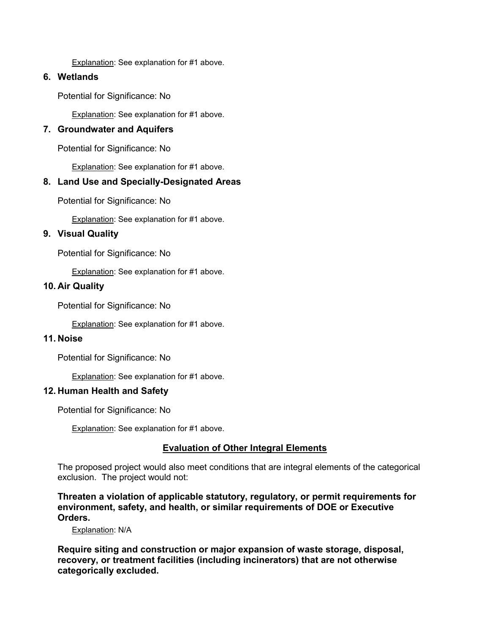Explanation: See explanation for #1 above.

## **6. Wetlands**

Potential for Significance: No

Explanation: See explanation for #1 above.

## **7. Groundwater and Aquifers**

Potential for Significance: No

Explanation: See explanation for #1 above.

# **8. Land Use and Specially-Designated Areas**

Potential for Significance: No

Explanation: See explanation for #1 above.

#### **9. Visual Quality**

Potential for Significance: No

Explanation: See explanation for #1 above.

#### **10. Air Quality**

Potential for Significance: No

**Explanation: See explanation for #1 above.** 

#### **11. Noise**

Potential for Significance: No

Explanation: See explanation for #1 above.

#### **12. Human Health and Safety**

Potential for Significance: No

Explanation: See explanation for #1 above.

#### **Evaluation of Other Integral Elements**

The proposed project would also meet conditions that are integral elements of the categorical exclusion. The project would not:

**Threaten a violation of applicable statutory, regulatory, or permit requirements for environment, safety, and health, or similar requirements of DOE or Executive Orders.**

Explanation: N/A

**Require siting and construction or major expansion of waste storage, disposal, recovery, or treatment facilities (including incinerators) that are not otherwise categorically excluded.**